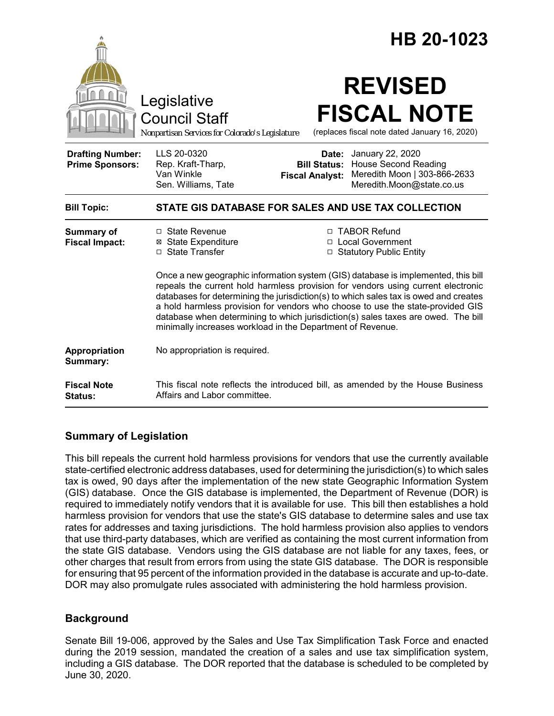|                                                   |                                                                                                                                                                                                                                                                                                                                                                                                                                                                                                    |                                                        | HB 20-1023                                                                                                   |
|---------------------------------------------------|----------------------------------------------------------------------------------------------------------------------------------------------------------------------------------------------------------------------------------------------------------------------------------------------------------------------------------------------------------------------------------------------------------------------------------------------------------------------------------------------------|--------------------------------------------------------|--------------------------------------------------------------------------------------------------------------|
|                                                   | Legislative<br><b>Council Staff</b><br>Nonpartisan Services for Colorado's Legislature                                                                                                                                                                                                                                                                                                                                                                                                             |                                                        | <b>REVISED</b><br><b>FISCAL NOTE</b><br>(replaces fiscal note dated January 16, 2020)                        |
| <b>Drafting Number:</b><br><b>Prime Sponsors:</b> | LLS 20-0320<br>Rep. Kraft-Tharp,<br>Van Winkle<br>Sen. Williams, Tate                                                                                                                                                                                                                                                                                                                                                                                                                              | Date:<br><b>Bill Status:</b><br><b>Fiscal Analyst:</b> | January 22, 2020<br><b>House Second Reading</b><br>Meredith Moon   303-866-2633<br>Meredith.Moon@state.co.us |
| <b>Bill Topic:</b>                                | STATE GIS DATABASE FOR SALES AND USE TAX COLLECTION                                                                                                                                                                                                                                                                                                                                                                                                                                                |                                                        |                                                                                                              |
| Summary of<br><b>Fiscal Impact:</b>               | □ State Revenue<br><b>⊠</b> State Expenditure<br>□ State Transfer                                                                                                                                                                                                                                                                                                                                                                                                                                  |                                                        | □ TABOR Refund<br>□ Local Government<br>□ Statutory Public Entity                                            |
|                                                   | Once a new geographic information system (GIS) database is implemented, this bill<br>repeals the current hold harmless provision for vendors using current electronic<br>databases for determining the jurisdiction(s) to which sales tax is owed and creates<br>a hold harmless provision for vendors who choose to use the state-provided GIS<br>database when determining to which jurisdiction(s) sales taxes are owed. The bill<br>minimally increases workload in the Department of Revenue. |                                                        |                                                                                                              |
| Appropriation<br>Summary:                         | No appropriation is required.                                                                                                                                                                                                                                                                                                                                                                                                                                                                      |                                                        |                                                                                                              |
| <b>Fiscal Note</b><br>Status:                     | This fiscal note reflects the introduced bill, as amended by the House Business<br>Affairs and Labor committee.                                                                                                                                                                                                                                                                                                                                                                                    |                                                        |                                                                                                              |

# **Summary of Legislation**

This bill repeals the current hold harmless provisions for vendors that use the currently available state-certified electronic address databases, used for determining the jurisdiction(s) to which sales tax is owed, 90 days after the implementation of the new state Geographic Information System (GIS) database. Once the GIS database is implemented, the Department of Revenue (DOR) is required to immediately notify vendors that it is available for use. This bill then establishes a hold harmless provision for vendors that use the state's GIS database to determine sales and use tax rates for addresses and taxing jurisdictions. The hold harmless provision also applies to vendors that use third-party databases, which are verified as containing the most current information from the state GIS database. Vendors using the GIS database are not liable for any taxes, fees, or other charges that result from errors from using the state GIS database. The DOR is responsible for ensuring that 95 percent of the information provided in the database is accurate and up-to-date. DOR may also promulgate rules associated with administering the hold harmless provision.

# **Background**

Senate Bill 19-006, approved by the Sales and Use Tax Simplification Task Force and enacted during the 2019 session, mandated the creation of a sales and use tax simplification system, including a GIS database. The DOR reported that the database is scheduled to be completed by June 30, 2020.